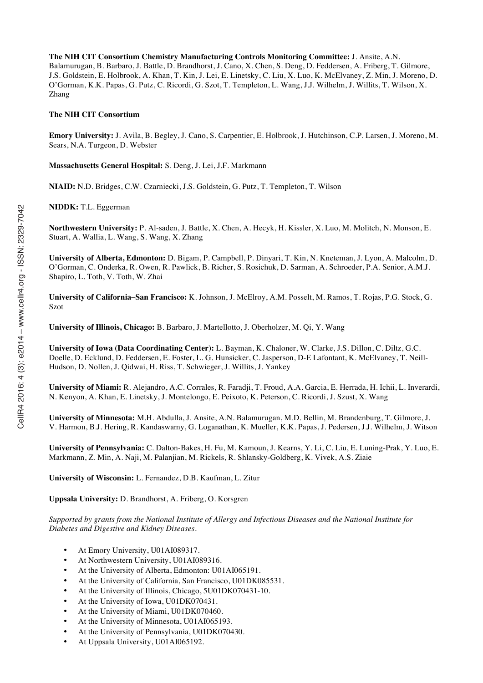**The NIH CIT Consortium Chemistry Manufacturing Controls Monitoring Committee:** J. Ansite, A.N. Balamurugan, B. Barbaro, J. Battle, D. Brandhorst, J. Cano, X. Chen, S. Deng, D. Feddersen, A. Friberg, T. Gilmore, J.S. Goldstein, E. Holbrook, A. Khan, T. Kin, J. Lei, E. Linetsky, C. Liu, X. Luo, K. McElvaney, Z. Min, J. Moreno, D. O'Gorman, K.K. Papas, G. Putz, C. Ricordi, G. Szot, T. Templeton, L. Wang, J.J. Wilhelm, J. Willits, T. Wilson, X. Zhang

#### **The NIH CIT Consortium**

**Emory University:** J. Avila, B. Begley, J. Cano, S. Carpentier, E. Holbrook, J. Hutchinson, C.P. Larsen, J. Moreno, M. Sears, N.A. Turgeon, D. Webster

**Massachusetts General Hospital:** S. Deng, J. Lei, J.F. Markmann

**NIAID:** N.D. Bridges, C.W. Czarniecki, J.S. Goldstein, G. Putz, T. Templeton, T. Wilson

**NIDDK:** T.L. Eggerman

**Northwestern University:** P. Al-saden, J. Battle, X. Chen, A. Hecyk, H. Kissler, X. Luo, M. Molitch, N. Monson, E. Stuart, A. Wallia, L. Wang, S. Wang, X. Zhang

**University of Alberta, Edmonton:** D. Bigam, P. Campbell, P. Dinyari, T. Kin, N. Kneteman, J. Lyon, A. Malcolm, D. O'Gorman, C. Onderka, R. Owen, R. Pawlick, B. Richer, S. Rosichuk, D. Sarman, A. Schroeder, P.A. Senior, A.M.J. Shapiro, L. Toth, V. Toth, W. Zhai

**University of California–San Francisco:** K. Johnson, J. McElroy, A.M. Posselt, M. Ramos, T. Rojas, P.G. Stock, G. Szot

**University of Illinois, Chicago:** B. Barbaro, J. Martellotto, J. Oberholzer, M. Qi, Y. Wang

**University of Iowa (Data Coordinating Center):** L. Bayman, K. Chaloner, W. Clarke, J.S. Dillon, C. Diltz, G.C. Doelle, D. Ecklund, D. Feddersen, E. Foster, L. G. Hunsicker, C. Jasperson, D-E Lafontant, K. McElvaney, T. Neill-Hudson, D. Nollen, J. Qidwai, H. Riss, T. Schwieger, J. Willits, J. Yankey

**University of Miami:** R. Alejandro, A.C. Corrales, R. Faradji, T. Froud, A.A. Garcia, E. Herrada, H. Ichii, L. Inverardi, N. Kenyon, A. Khan, E. Linetsky, J. Montelongo, E. Peixoto, K. Peterson, C. Ricordi, J. Szust, X. Wang

**University of Minnesota:** M.H. Abdulla, J. Ansite, A.N. Balamurugan, M.D. Bellin, M. Brandenburg, T. Gilmore, J. V. Harmon, B.J. Hering, R. Kandaswamy, G. Loganathan, K. Mueller, K.K. Papas, J. Pedersen, J.J. Wilhelm, J. Witson

**University of Pennsylvania:** C. Dalton-Bakes, H. Fu, M. Kamoun, J. Kearns, Y. Li, C. Liu, E. Luning-Prak, Y. Luo, E. Markmann, Z. Min, A. Naji, M. Palanjian, M. Rickels, R. Shlansky-Goldberg, K. Vivek, A.S. Ziaie

**University of Wisconsin:** L. Fernandez, D.B. Kaufman, L. Zitur

**Uppsala University:** D. Brandhorst, A. Friberg, O. Korsgren

*Supported by grants from the National Institute of Allergy and Infectious Diseases and the National Institute for Diabetes and Digestive and Kidney Diseases.*

- At Emory University, U01AI089317.
- At Northwestern University, U01AI089316.
- At the University of Alberta, Edmonton: U01AI065191.
- At the University of California, San Francisco, U01DK085531.
- At the University of Illinois, Chicago, 5U01DK070431-10.
- At the University of Iowa, U01DK070431.
- At the University of Miami, U01DK070460.
- At the University of Minnesota, U01AI065193.
- At the University of Pennsylvania, U01DK070430.
- At Uppsala University, U01AI065192.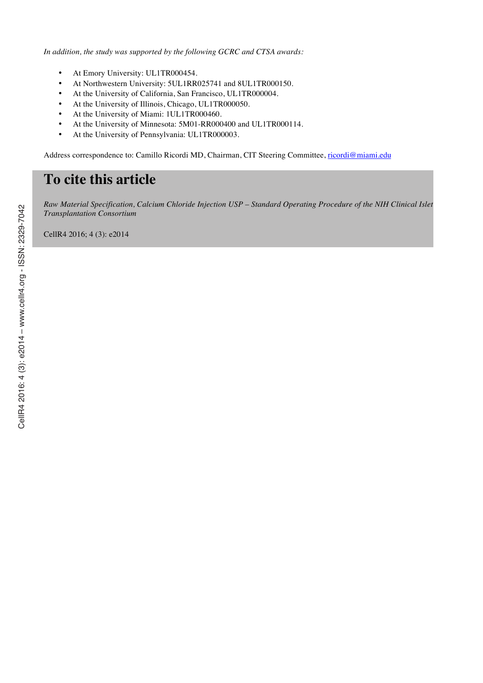*In addition, the study was supported by the following GCRC and CTSA awards:*

- At Emory University: UL1TR000454.
- At Northwestern University: 5UL1RR025741 and 8UL1TR000150.
- At the University of California, San Francisco, UL1TR000004.
- At the University of Illinois, Chicago, UL1TR000050.
- At the University of Miami: 1UL1TR000460.
- At the University of Minnesota: 5M01-RR000400 and UL1TR000114.
- At the University of Pennsylvania: UL1TR000003.

Address correspondence to: Camillo Ricordi MD, Chairman, CIT Steering Committee, ricordi@miami.edu

# **To cite this article**

*Raw Material Specification, Calcium Chloride Injection USP – Standard Operating Procedure of the NIH Clinical Islet Transplantation Consortium*

CellR4 2016; 4 (3): e2014